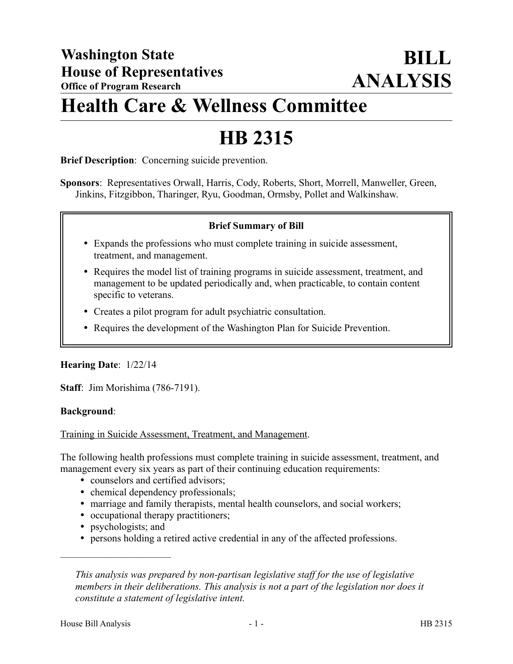## **Health Care & Wellness Committee**

# **HB 2315**

**Brief Description**: Concerning suicide prevention.

**Sponsors**: Representatives Orwall, Harris, Cody, Roberts, Short, Morrell, Manweller, Green, Jinkins, Fitzgibbon, Tharinger, Ryu, Goodman, Ormsby, Pollet and Walkinshaw.

#### **Brief Summary of Bill**

- Expands the professions who must complete training in suicide assessment, treatment, and management.
- Requires the model list of training programs in suicide assessment, treatment, and management to be updated periodically and, when practicable, to contain content specific to veterans.
- Creates a pilot program for adult psychiatric consultation.
- Requires the development of the Washington Plan for Suicide Prevention.

#### **Hearing Date**: 1/22/14

**Staff**: Jim Morishima (786-7191).

#### **Background**:

Training in Suicide Assessment, Treatment, and Management.

The following health professions must complete training in suicide assessment, treatment, and management every six years as part of their continuing education requirements:

- counselors and certified advisors;
- chemical dependency professionals;
- marriage and family therapists, mental health counselors, and social workers;
- occupational therapy practitioners;
- psychologists; and

––––––––––––––––––––––

persons holding a retired active credential in any of the affected professions.

*This analysis was prepared by non-partisan legislative staff for the use of legislative members in their deliberations. This analysis is not a part of the legislation nor does it constitute a statement of legislative intent.*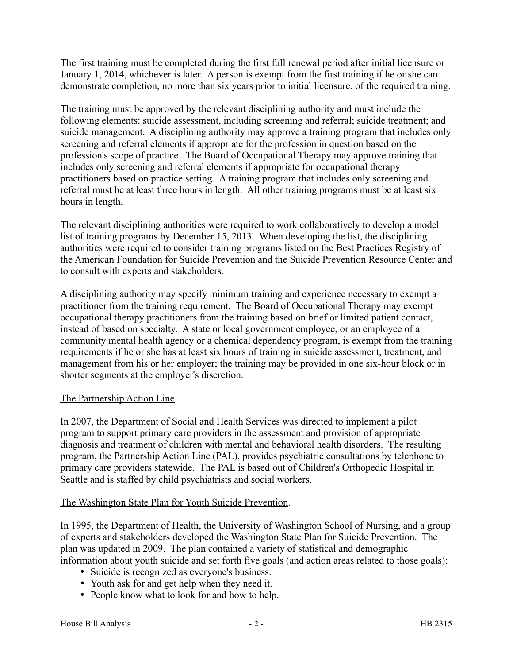The first training must be completed during the first full renewal period after initial licensure or January 1, 2014, whichever is later. A person is exempt from the first training if he or she can demonstrate completion, no more than six years prior to initial licensure, of the required training.

The training must be approved by the relevant disciplining authority and must include the following elements: suicide assessment, including screening and referral; suicide treatment; and suicide management. A disciplining authority may approve a training program that includes only screening and referral elements if appropriate for the profession in question based on the profession's scope of practice. The Board of Occupational Therapy may approve training that includes only screening and referral elements if appropriate for occupational therapy practitioners based on practice setting. A training program that includes only screening and referral must be at least three hours in length. All other training programs must be at least six hours in length.

The relevant disciplining authorities were required to work collaboratively to develop a model list of training programs by December 15, 2013. When developing the list, the disciplining authorities were required to consider training programs listed on the Best Practices Registry of the American Foundation for Suicide Prevention and the Suicide Prevention Resource Center and to consult with experts and stakeholders.

A disciplining authority may specify minimum training and experience necessary to exempt a practitioner from the training requirement. The Board of Occupational Therapy may exempt occupational therapy practitioners from the training based on brief or limited patient contact, instead of based on specialty. A state or local government employee, or an employee of a community mental health agency or a chemical dependency program, is exempt from the training requirements if he or she has at least six hours of training in suicide assessment, treatment, and management from his or her employer; the training may be provided in one six-hour block or in shorter segments at the employer's discretion.

## The Partnership Action Line.

In 2007, the Department of Social and Health Services was directed to implement a pilot program to support primary care providers in the assessment and provision of appropriate diagnosis and treatment of children with mental and behavioral health disorders. The resulting program, the Partnership Action Line (PAL), provides psychiatric consultations by telephone to primary care providers statewide. The PAL is based out of Children's Orthopedic Hospital in Seattle and is staffed by child psychiatrists and social workers.

#### The Washington State Plan for Youth Suicide Prevention.

In 1995, the Department of Health, the University of Washington School of Nursing, and a group of experts and stakeholders developed the Washington State Plan for Suicide Prevention. The plan was updated in 2009. The plan contained a variety of statistical and demographic information about youth suicide and set forth five goals (and action areas related to those goals):

- Suicide is recognized as everyone's business.
- Youth ask for and get help when they need it.
- People know what to look for and how to help.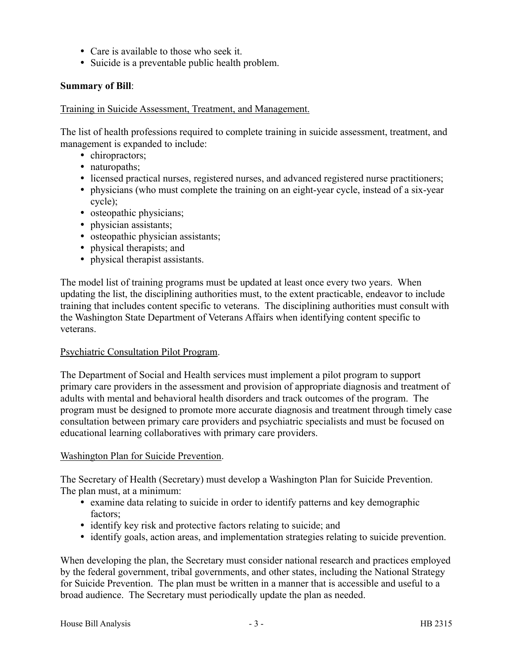- Care is available to those who seek it.
- Suicide is a preventable public health problem.

### **Summary of Bill**:

#### Training in Suicide Assessment, Treatment, and Management.

The list of health professions required to complete training in suicide assessment, treatment, and management is expanded to include:

- chiropractors;
- naturopaths;
- licensed practical nurses, registered nurses, and advanced registered nurse practitioners;
- physicians (who must complete the training on an eight-year cycle, instead of a six-year cycle);
- osteopathic physicians;
- physician assistants;
- osteopathic physician assistants;
- physical therapists; and
- physical therapist assistants.

The model list of training programs must be updated at least once every two years. When updating the list, the disciplining authorities must, to the extent practicable, endeavor to include training that includes content specific to veterans. The disciplining authorities must consult with the Washington State Department of Veterans Affairs when identifying content specific to veterans.

#### Psychiatric Consultation Pilot Program.

The Department of Social and Health services must implement a pilot program to support primary care providers in the assessment and provision of appropriate diagnosis and treatment of adults with mental and behavioral health disorders and track outcomes of the program. The program must be designed to promote more accurate diagnosis and treatment through timely case consultation between primary care providers and psychiatric specialists and must be focused on educational learning collaboratives with primary care providers.

## Washington Plan for Suicide Prevention.

The Secretary of Health (Secretary) must develop a Washington Plan for Suicide Prevention. The plan must, at a minimum:

- examine data relating to suicide in order to identify patterns and key demographic factors;
- identify key risk and protective factors relating to suicide; and
- identify goals, action areas, and implementation strategies relating to suicide prevention.

When developing the plan, the Secretary must consider national research and practices employed by the federal government, tribal governments, and other states, including the National Strategy for Suicide Prevention. The plan must be written in a manner that is accessible and useful to a broad audience. The Secretary must periodically update the plan as needed.